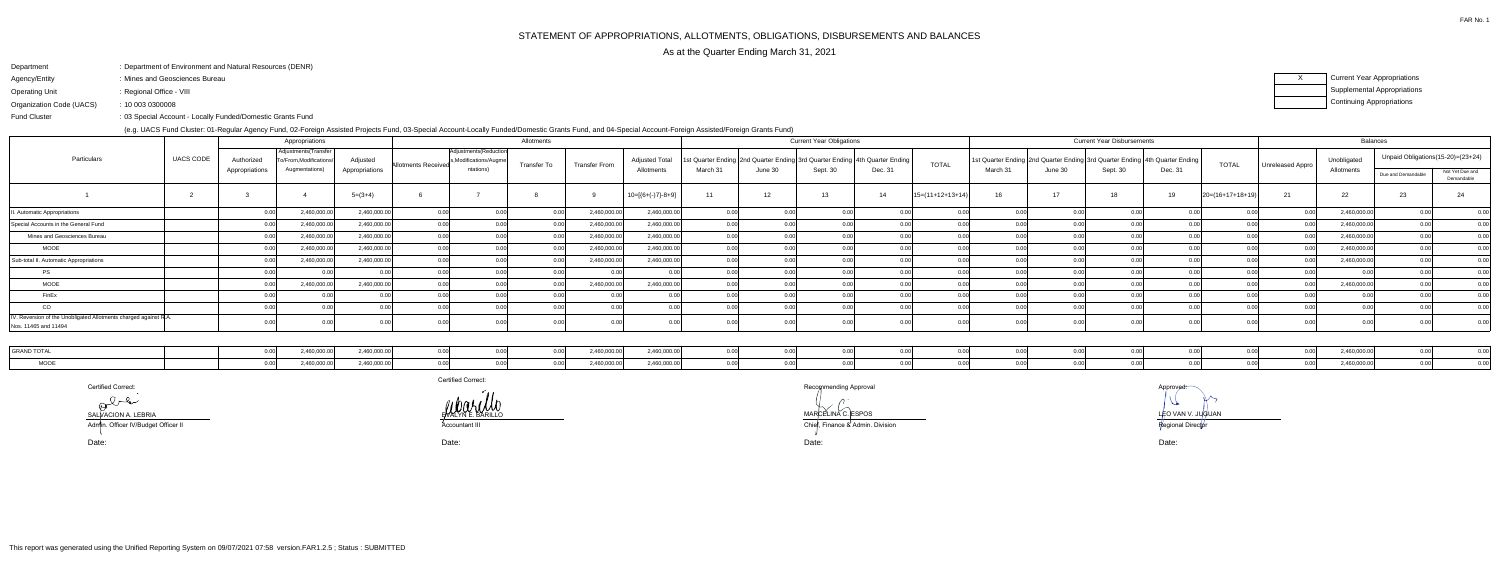# Department: Department of Environment and Natural Resources (DENR)

- Agency/Entity: Mines and Geosciences Bureau
- Operating Unit: Regional Office - VIII

FAR No. 1

sisted/Foreign Grants Fund)

оrtified Correct: Морода Сервет Сервет Сервет Сервет Сервет Сервет Сервет Сервет Сервет Сервет Ресордители Вес<br>В Постанов Сервет Сервет Сервет Сервет Сервет Сервет Сервет Сервет Сервет Сервет Сервет Сервет Сервет Сервет С

Accountant III<br>Accountant III

l and the contract of the contract of the contract of the contract of the contract of the contract of the contract of the contract of the contract of the contract of the contract of the contract of the contract of the cont  $\sqrt$ O MARCELINA C. ESPOS LEO VAN V. JUGUAN LEO VAN V. JUGUAN LEO VAN V. JUGUAN LEO VAN V. JUGUAN LEO VAN V. JUGUAN

Regional Director

Fund Cluster

Organization Code (UACS)10 003 0300008:

03 Special Account - Locally Funded/Domestic Grants Fund:

XCurrent Year Appropriations Supplemental AppropriationsContinuing Appropriations

|                                                                                         |                  |                | Appropriations                                 |                |                            |                                                   | Allotments         |                      |                       |          |         | <b>Current Year Obligations</b> |                                                                                  |                    |          |         | <b>Current Year Disbursements</b>                                               |         |                      |                    |             | <b>Balances</b>    |                                   |
|-----------------------------------------------------------------------------------------|------------------|----------------|------------------------------------------------|----------------|----------------------------|---------------------------------------------------|--------------------|----------------------|-----------------------|----------|---------|---------------------------------|----------------------------------------------------------------------------------|--------------------|----------|---------|---------------------------------------------------------------------------------|---------|----------------------|--------------------|-------------|--------------------|-----------------------------------|
| Particulars                                                                             | <b>UACS CODE</b> | Authorized     | Adjustments (Transfer<br>o/From.Modifications/ | Adjusted       | <b>Allotments Received</b> | Adjustments (Reduction<br>Is, Modifications/Augme | <b>Transfer To</b> | <b>Transfer From</b> | <b>Adjusted Total</b> |          |         |                                 | st Quarter Ending   2nd Quarter Ending   3rd Quarter Ending   4th Quarter Ending | <b>TOTAL</b>       |          |         | 1st Quarter Ending  2nd Quarter Ending  3rd Quarter Ending   4th Quarter Ending |         | <b>TOTAL</b>         | Unreleased Appro I | Unobligated |                    | Unpaid Obligations(15-20)=(23+24) |
|                                                                                         |                  | Appropriations | Augmentations)                                 | Appropriations |                            | ntations)                                         |                    |                      | Allotments            | March 31 | June 30 | Sept. 30                        | Dec. 31                                                                          |                    | March 31 | June 30 | Sept. 30                                                                        | Dec. 31 |                      |                    | Allotments  | Due and Demandable | Not Yet Due and<br>Demandable     |
|                                                                                         |                  |                |                                                | $5=(3+4)$      |                            |                                                   |                    |                      | $10=[{6+(-)}7-8+9]$   | 11       | 12      | 13                              | 14                                                                               | $15=(11+12+13+14)$ | 16       | 17      |                                                                                 | 19      | $ 20=(16+17+18+19) $ |                    | 22          | 23                 | 24                                |
| I. Automatic Appropriations                                                             |                  |                | 2,460,000.00                                   | 2,460,000.00   |                            |                                                   |                    | 2,460,000.0          | 2,460,000.00          |          |         |                                 |                                                                                  |                    |          |         |                                                                                 |         |                      |                    | 2,460,000.0 |                    | 0.00                              |
| Special Accounts in the General Fund                                                    |                  |                | 2,460,000.0                                    | 2,460,000.00   |                            |                                                   |                    | 2,460,000.0          | 2,460,000.00          |          |         |                                 |                                                                                  |                    |          |         |                                                                                 |         |                      |                    | 2,460,000.0 |                    | 0.00                              |
| Mines and Geosciences Bureau                                                            |                  |                | 2,460,000.00                                   | 2,460,000.00   |                            |                                                   |                    | 2,460,000.0          | 2,460,000.00          |          |         |                                 |                                                                                  |                    |          |         |                                                                                 |         |                      |                    | 2,460,000.0 |                    | 0.00                              |
| <b>MOOE</b>                                                                             |                  |                | 2,460,000.0                                    | 2,460,000.00   |                            |                                                   |                    | 2,460,000.0          | 2,460,000.00          |          |         |                                 |                                                                                  |                    |          |         |                                                                                 |         |                      |                    | 2,460,000.0 |                    | 0.00                              |
| Sub-total II. Automatic Appropriations                                                  |                  |                | 2,460,000.0                                    | 2,460,000.00   |                            |                                                   |                    | 2,460,000.0          | 2,460,000.00          |          |         |                                 |                                                                                  |                    |          |         |                                                                                 |         |                      |                    | 2,460,000.0 |                    | 0.00                              |
| <b>PS</b>                                                                               |                  |                |                                                |                |                            |                                                   |                    |                      |                       |          |         |                                 |                                                                                  |                    |          |         |                                                                                 |         |                      |                    |             |                    | 0.00                              |
| MOOE                                                                                    |                  |                | 2,460,000.00                                   | 2,460,000.00   |                            |                                                   |                    | 2,460,000.0          | 2,460,000.00          |          |         |                                 |                                                                                  |                    |          |         |                                                                                 |         |                      |                    | 2,460,000.0 |                    | 0.00                              |
| FinEx                                                                                   |                  |                |                                                |                |                            |                                                   |                    |                      |                       |          |         |                                 |                                                                                  |                    |          |         |                                                                                 |         |                      |                    |             |                    | 0.00                              |
| CO                                                                                      |                  |                |                                                |                |                            |                                                   |                    |                      |                       |          |         |                                 |                                                                                  |                    |          |         |                                                                                 |         |                      |                    |             |                    | 0 U U                             |
| /. Reversion of the Unobligated Allotments charged against R.A.<br>Nos. 11465 and 11494 |                  |                |                                                |                |                            |                                                   |                    |                      |                       |          |         |                                 |                                                                                  |                    |          |         |                                                                                 |         |                      |                    |             |                    |                                   |

| <b>LGRAND TC</b> | 2.460.000.00 | 2.460.000.00 | 0.00 | 0.00 | 2,460,000.00 | 2.460.000.00 |  |  |  |  |  | 2460000c  |  |
|------------------|--------------|--------------|------|------|--------------|--------------|--|--|--|--|--|-----------|--|
|                  | 2,460,000.00 | 2,460,000.00 | 0.00 |      | 2,460,000.00 | 2.460.000.00 |  |  |  |  |  | 2,460,000 |  |

Certified Correct:

SALVACION A. LEBRIA EN EL ENTRE EN EL ENTRE EN EL ENTRE EL ENTRE EL ENTRE EL ENTRE EL ENTRE EL ENTRE EL ENTRE

Date:

Date: Date: Date:

Admin. Officer IV/Budget Officer II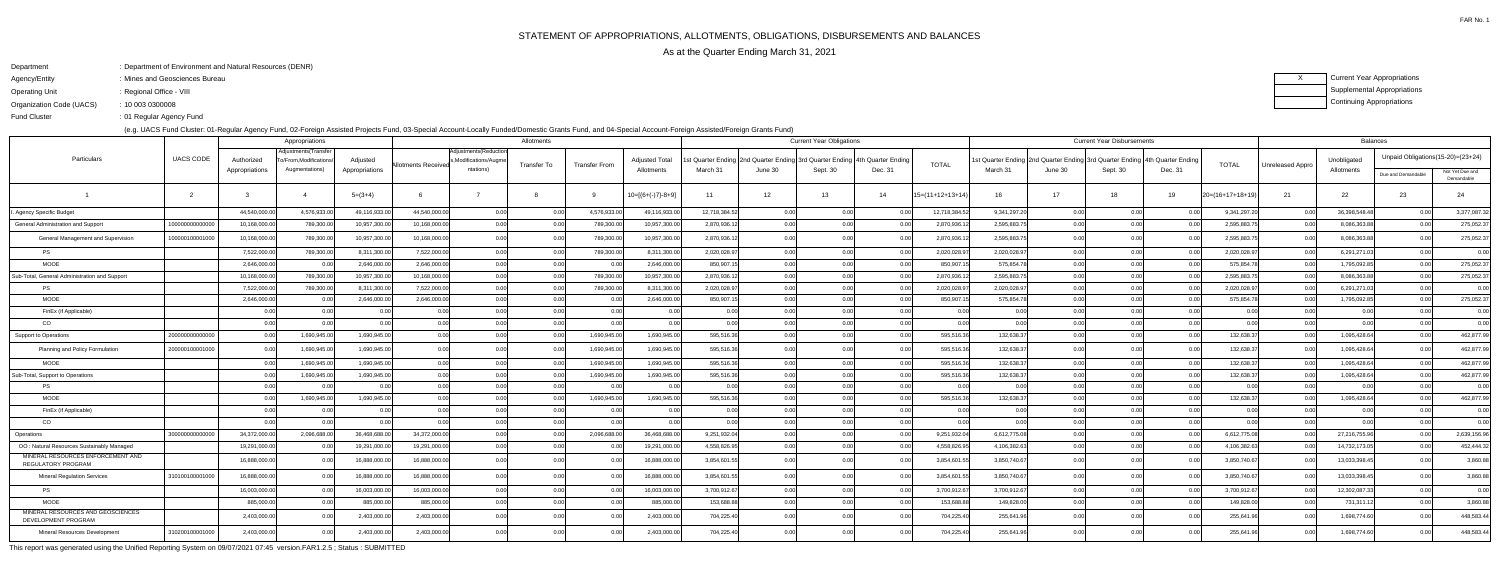# Department: Department of Environment and Natural Resources (DENR)

- Agency/Entity: Mines and Geosciences Bureau
- Operating Unit: Regional Office - VIII

FAR No. 1

ending the U.S. of Regular Agency Fund Fund Cluster

XCurrent Year Appropriations Supplemental AppropriationsContinuing Appropriations

Organization Code (UACS)10 003 0300008:

(e.g. UACS Fund Cluster: 01-Regular Agency Fund, 02-Foreign Assisted Projects Fund, 03-Special Account-Locally Funded/Domestic Grants Fund, and 04-Special Account-Foreign Assisted/Foreign Grants Fund)

|                                                                 |                  |                | Appropriations                               |                |                     |                                                | Allotments  |                      |                       |               |                                                                            | <b>Current Year Obligations</b> |                |                  |                                                                                 |                   | <b>Current Year Disbursements</b> |         |                    |                  | <b>Balances</b> |                                   |                               |
|-----------------------------------------------------------------|------------------|----------------|----------------------------------------------|----------------|---------------------|------------------------------------------------|-------------|----------------------|-----------------------|---------------|----------------------------------------------------------------------------|---------------------------------|----------------|------------------|---------------------------------------------------------------------------------|-------------------|-----------------------------------|---------|--------------------|------------------|-----------------|-----------------------------------|-------------------------------|
| Particulars                                                     | <b>UACS CODE</b> | Authorized     | Adjustments(Transfer<br>o/From.Modifications | Adjusted       | Allotments Receivec | Adjustments (Reduction<br>s,Modifications/Augm | Transfer To | <b>Transfer From</b> | <b>Adjusted Total</b> |               | st Quarter Ending 2nd Quarter Ending 3rd Quarter Ending 4th Quarter Ending |                                 |                | <b>TOTAL</b>     | 1st Quarter Ending  2nd Quarter Ending  3rd Quarter Ending   4th Quarter Ending |                   |                                   |         | <b>TOTAL</b>       | Unreleased Appro | Unobligated     | Unpaid Obligations(15-20)=(23+24) |                               |
|                                                                 |                  | Appropriations | Augmentations)                               | Appropriations |                     | ntations)                                      |             |                      | Allotments            | March 31      | June 30                                                                    | Sept. 30                        | Dec. 31        |                  | March 31                                                                        | June 30           | Sept. 30                          | Dec. 31 |                    |                  | Allotments      | Due and Demandable                | Not Yet Due and<br>Demandable |
|                                                                 | $\overline{2}$   |                |                                              | $5=(3+4)$      |                     |                                                |             |                      | $10=[6+(-)7]-8+9]$    | 11            | 12                                                                         | 13                              | 14             | 15=(11+12+13+14) | 16                                                                              | 17                | 18                                | 19      | $20=(16+17+18+19)$ | 21               | 22              | 23                                | 24                            |
| Agency Specific Budget                                          |                  | 44,540,000.0   | 4,576,933.0                                  | 49,116,933.00  | 44,540,000.00       | 0.00                                           | 0.00        | 4,576,933.0          | 49,116,933.00         | 12,718,384.52 | 0.00                                                                       | 0.00                            |                | 12,718,384.5     | 9,341,297.20                                                                    | 0.00              | 0.00                              |         | 9,341,297.2        | 0.00             | 36,398,548.48   | 0.00                              | 3,377,087.32                  |
| General Administration and Support                              | 10000000000000   | 10,168,000.00  | 789,300.00                                   | 10,957,300.00  | 10,168,000.00       | 0.00                                           | 0.00        | 789,300.00           | 10,957,300.00         | 2,870,936.12  |                                                                            | 0.00                            |                | 2,870,936.12     | 2,595,883.75                                                                    | n ool             | 0.00                              |         | 2,595,883.75       | 0.00             | 8,086,363.88    | 0.00                              | 275,052.37                    |
| General Management and Supervision                              | 100000100001000  | 10,168,000.00  | 789,300.00                                   | 10,957,300.00  | 10.168.000.00       | 0.00                                           | 0.00        | 789,300.00           | 10,957,300.00         | 2,870,936.12  |                                                                            | 0.00                            |                | 2,870,936.12     | 2,595,883.75                                                                    |                   |                                   |         | 2,595,883.7        | 0.00             | 8,086,363.88    | 0.00 <sub>l</sub>                 | 275,052.37                    |
| <b>PS</b>                                                       |                  | 7,522,000.00   | 789,300.00                                   | 8,311,300.00   | 7,522,000.00        | 0.00                                           | 0.00        | 789,300.00           | 8,311,300.00          | 2,020,028.97  |                                                                            | 0.00                            | 0.00           | 2,020,028.97     | 2,020,028.97                                                                    | n ool             | 0.00                              |         | 2,020,028.97       | 0.00             | 6,291,271.0     | 0.00                              | 0.00                          |
| <b>MOOE</b>                                                     |                  | 2,646,000.00   |                                              | 2,646,000.00   | 2,646,000.00        | 0.00                                           | 0.00        | 0.00                 | 2,646,000.00          | 850,907.15    |                                                                            | 0.00 <sub>l</sub>               | 0.00           | 850,907.1        | 575,854.78                                                                      | ი იი              | 0.00                              |         | 575,854.78         | 0.00             | 1,795,092.8     | 0.00                              | 275,052.37                    |
| Sub-Total, General Administration and Support                   |                  | 10,168,000.00  | 789,300.00                                   | 10,957,300.00  | 10,168,000.00       | 0.00                                           | 0.0         | 789,300.00           | 10,957,300.00         | 2,870,936.12  |                                                                            | 0.00                            |                | 2,870,936.1      | 2,595,883.7                                                                     |                   | 0.00                              |         | 2,595,883.7        | 0.0              | 8,086,363.8     | 0.00                              | 275,052.37                    |
| <b>PS</b>                                                       |                  | 7,522,000.00   | 789,300.00                                   | 8,311,300.00   | 7,522,000.00        | 0.00                                           | 0.00        | 789,300.00           | 8,311,300.00          | 2,020,028.97  |                                                                            | 0.00                            | 0.00           | 2,020,028.97     | 2,020,028.97                                                                    | 0.00 <sub>l</sub> | 0.00                              | 0.00    | 2,020,028.97       | 0.00             | 6,291,271.03    | 0.00                              | 0.00                          |
| <b>MOOE</b>                                                     |                  | 2,646,000.00   |                                              | 2,646,000.00   | 2,646,000.00        | 0.00                                           | 0.00        | 0.00                 | 2,646,000.00          | 850,907.15    |                                                                            | 0.00                            | 0.00           | 850,907.1        | 575,854.78                                                                      | 0.00L             | 0.00                              |         | 575,854.78         | 0.00             | 1,795,092.8     | 0.00 <sub>l</sub>                 | 275,052.37                    |
| FinEx (if Applicable)                                           |                  | 0.00           |                                              | 0.00           | 0.00                | 0.00                                           | 0.00        | 0.00                 | 0.00                  | 0.00          |                                                                            | 0.00                            | 0.00           | 0.00             | 0.00                                                                            | 0. UU             | 0.00                              |         | 0 <sub>0</sub>     | 0.00             | 0 <sub>0</sub>  | 0.00                              | 0.00                          |
| CO.                                                             |                  | 0.00           |                                              | 0.00           | 0.00                | 0.00                                           | 0.00        | 0.00                 | 0.00                  | 0.00          |                                                                            | 0.00                            | 0.00           | 0.00             | 0.00                                                                            | ስ ስስ              | 0.00                              | 0.00    | 0.00               | 0.00             |                 | 0.00                              | 0.00                          |
| <b>Support to Operations</b>                                    | 2000000000000    | 0.00           | 1,690,945.00                                 | 1,690,945.00   | 0.00                | 0.00                                           | 0.00        | 1,690,945.00         | 1,690,945.00          | 595,516.36    |                                                                            | 0.00                            | 0.00           | 595,516.36       | 132,638.37                                                                      | ი იი              | 0.00                              | 0.00    | 132,638.37         | 0.00             | 1,095,428.64    | 0.00                              | 462,877.99                    |
| Planning and Policy Formulation                                 | 200000100001000  |                | 1,690,945.0                                  | 1,690,945.00   | 0.00                |                                                | 0.00        | 1,690,945.00         | 1,690,945.00          | 595,516.36    |                                                                            |                                 |                | 595,516.36       | 132,638.37                                                                      |                   | 0.00                              |         | 132,638.3          | 0.00             | 1,095,428.64    | 0.00 <sub>l</sub>                 | 462,877.99                    |
| <b>MOOE</b>                                                     |                  |                | 1,690,945.0                                  | 1,690,945.00   | 0.00                |                                                | 0.0         | 1,690,945.0          | 1,690,945.00          | 595,516.36    |                                                                            | 0.00                            | 0.00           | 595,516.36       | 132,638.3                                                                       |                   | 0.00                              |         | 132,638.3          | 0.00             | 1,095,428.64    | 0.00                              | 462,877.99                    |
| Sub-Total, Support to Operations                                |                  |                | 1,690,945.00                                 | 1,690,945.00   | 0.00                | 0.00                                           | 0.00        | 1,690,945.00         | 1,690,945.00          | 595,516.36    |                                                                            | 0.00                            | 0.00           | 595,516.36       | 132,638.37                                                                      | 0.001             | 0.00                              |         | 132,638.37         | 0.00             | 1,095,428.64    | 0.00                              | 462,877.99                    |
| <b>PS</b>                                                       |                  | 0.00           |                                              | 0.00           | 0.00                | 0.00                                           | 0.00        | 0 <sub>0</sub>       | 0.00                  | 0.00          | n nr                                                                       | 0.00                            | 0.00           | 0.00             | 0.00                                                                            | n ool             | 0.00                              | 0.00    | 0.00               | 0.00             | 0 <sub>0</sub>  | 0.00                              | 0.00                          |
| <b>MOOE</b>                                                     |                  |                | 1,690,945.00                                 | 1,690,945.00   | 0.00                |                                                | 0.0         | 1,690,945.00         | 1,690,945.00          | 595,516.36    |                                                                            | 0.00                            | 0.OC           | 595,516.36       | 132,638.37                                                                      | ስ ስስ              | 0.00                              |         | 132,638.3          | 0.00             | 1,095,428.64    | 0.00 <sub>l</sub>                 | 462,877.99                    |
| FinEx (if Applicable)                                           |                  | 0.00           |                                              | 0.00           | 0.00                | 0.00                                           | 0.00        |                      | 0.00                  | 0.00          |                                                                            | 0.00                            | 0 <sub>0</sub> | 0.00             | 0. QQ                                                                           |                   | 0.00                              |         | 0 <sub>0</sub>     | 0.00             |                 | 0.00                              | 0.00                          |
| <sub>CO</sub>                                                   |                  |                |                                              | 0.00           |                     | 0.00                                           | 0.00        |                      | 0.00                  | 0.00          |                                                                            | 0.00 <sub>l</sub>               | 0.00           | 0.00             | 0. QQ                                                                           |                   | 0.00                              |         | . റ റ              | 0.00             |                 | 0.001                             | 0.00                          |
| Operations                                                      | 30000000000000   | 34,372,000.00  | 2,096,688.00                                 | 36,468,688.00  | 34,372,000.00       | 0.00                                           | 0.00        | 2,096,688.00         | 36,468,688.00         | 9,251,932.04  |                                                                            | 0.00                            | n no           | 9,251,932.04     | 6,612,775.08                                                                    | 0.001             | 0.00                              |         | 6,612,775.08       | 0.00             | 27,216,755.96   | 0.00                              | 2,639,156.96                  |
| OO: Natural Resources Sustainably Managed                       |                  | 19,291,000.00  |                                              | 19,291,000.00  | 19,291,000.00       | 0.00                                           | 0.00        | 0.00                 | 19,291,000.00         | 4,558,826.95  |                                                                            | 0.00                            | 0.00           | 4,558,826.95     | 4,106,382.63                                                                    | 0.00 <sub>l</sub> | 0.00                              | 0.00    | 4,106,382.63       | 0.00             | 14,732,173.0    | 0.00                              | 452,444.32                    |
| MINERAL RESOURCES ENFORCEMENT AND<br>REGULATORY PROGRAM         |                  | 16,888,000.00  |                                              | 16,888,000.00  | 16,888,000.00       | 0.00 <sup>1</sup>                              | 0.00        | 0.00                 | 16,888,000.00         | 3,854,601.55  |                                                                            | 0.00                            | 0.00           | 3,854,601.5      | 3,850,740.67                                                                    |                   | 0.00                              | 0.00    | 3,850,740.67       | 0.00             | 13,033,398.4    | 0.00 <sub>l</sub>                 | 3,860.88                      |
| <b>Mineral Regulation Services</b>                              | 310100100001000  | 16,888,000.00  |                                              | 16,888,000.00  | 16.888.000.00       | 0.00                                           | 0.00        | 0.00                 | 16,888,000.00         | 3,854,601.55  | 0 <sub>0</sub>                                                             | 0.00                            | 0.00           | 3,854,601.55     | 3,850,740.67                                                                    | 0.001             | 0.00                              | 0.00    | 3,850,740.67       | 0.00             | 13,033,398.4    | 0.00 <sub>l</sub>                 | 3,860.88                      |
| <b>PS</b>                                                       |                  | 16,003,000.00  |                                              | 16,003,000.00  | 16.003.000.00       | 0.00 <sup>1</sup>                              | 0.00        | 0.OC                 | 16.003.000.00         | 3,700,912.67  |                                                                            | 0.00                            | 0.00           | 3,700,912.67     | 3,700,912.67                                                                    | 0.00 <sub>l</sub> | 0.00                              |         | 3,700,912.67       | 0.00             | 12,302,087.3    | 0.00                              | 0.00                          |
| <b>MOOE</b>                                                     |                  | 885,000.00     |                                              | 885,000.00     | 885,000.00          | 0.00                                           | 0.00        | 0.00                 | 885,000.00            | 153,688.88    | n nr                                                                       | 0.00                            | 0.00           | 153,688.8        | 149,828.00                                                                      | n ool             | 0.00                              |         | 149,828.00         | 0.00             | 731,311.1       | 0.00                              | 3,860.88                      |
| MINERAL RESOURCES AND GEOSCIENCES<br><b>DEVELOPMENT PROGRAM</b> |                  | 2,403,000.00   |                                              | 2,403,000.0    | 2,403,000.00        | 0.00                                           |             |                      | 2,403,000.00          | 704,225.40    |                                                                            |                                 |                | 704,225.40       | 255,641.96                                                                      |                   |                                   |         | 255,641.96         | 0.0              | 1,698,774.60    | 0.00                              | 448,583.44                    |
| Mineral Resources Development                                   | 310200100001000  | 2,403,000.00   |                                              | 2,403,000.00   | 2,403,000.00        | 0.00                                           |             |                      | 2,403,000.00          | 704,225.40    |                                                                            |                                 |                | 704,225.40       | 255,641.96                                                                      |                   |                                   |         | 255,641.96         |                  | 1,698,774.60    |                                   | 448,583.44                    |

This report was generated using the Unified Reporting System on 09/07/2021 07:45 version.FAR1.2.5 ; Status : SUBMITTED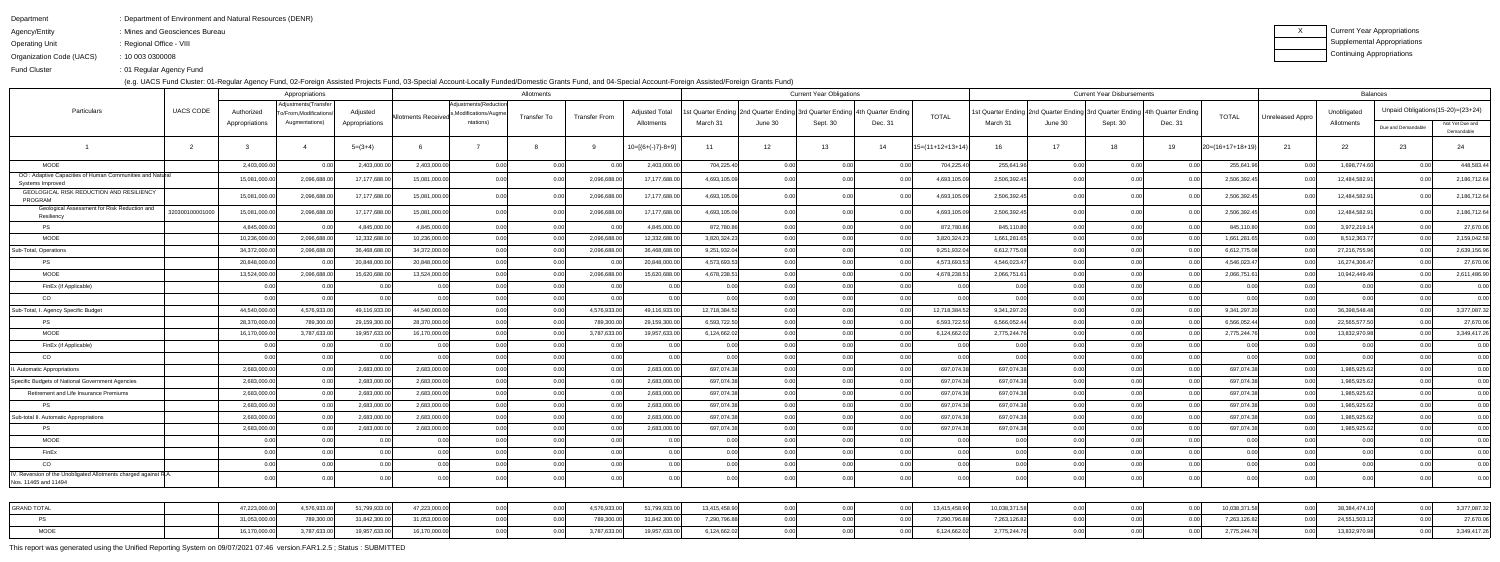Department

- : Department of Environment and Natural Resources (DENR)
- Agency/Entity: Mines and Geosciences Bureau
- Operating Unit : Regional Office - VIII

Organization Code (UACS)10 003 0300008:

Fund Cluster01 Regular Agency Fund:

(e.g. UACS Fund Cluster: 01-Regular Agency Fund, 02-Foreign Assisted Projects Fund, 03-Special Account-Locally Funded/Domestic Grants Fund, and 04-Special Account-Foreign Assisted/Foreign Grants Fund)

| Current Year Appropriations |
|-----------------------------|
| Supplemental Appropriations |
| Continuing Appropriations   |

|                                                                                          |                | Appropriations                            |                |                            |                                     | Allotments  |                      |                      |               |                   | <b>Current Year Obligations</b> |                                                                           |                    |               |                                                                               | <b>Current Year Disbursements</b> |                            |                    |                  | <b>Balances</b> |                                                                                                                                                                                                                        |                 |
|------------------------------------------------------------------------------------------|----------------|-------------------------------------------|----------------|----------------------------|-------------------------------------|-------------|----------------------|----------------------|---------------|-------------------|---------------------------------|---------------------------------------------------------------------------|--------------------|---------------|-------------------------------------------------------------------------------|-----------------------------------|----------------------------|--------------------|------------------|-----------------|------------------------------------------------------------------------------------------------------------------------------------------------------------------------------------------------------------------------|-----------------|
| <b>UACS CODE</b><br>Particulars                                                          | Authorized     | Adjustments (Transfer                     | Adjusted       |                            | Adjustments (Reduction              |             |                      | <b>Adjusted Tota</b> |               |                   |                                 | t Quarter Ending 2nd Quarter Ending 3rd Quarter Ending 4th Quarter Ending |                    |               | 1st Quarter Ending 2nd Quarter Ending 3rd Quarter Ending   4th Quarter Ending |                                   |                            |                    |                  | Unobligated     | Unpaid Obligations (15-20)= (23+24)                                                                                                                                                                                    |                 |
|                                                                                          | Appropriations | To/From, Modifications/<br>Augmentations) | Appropriations | <b>Allotments Received</b> | s, Modifications/Augme<br>ntations) | Transfer To | <b>Transfer From</b> | Allotments           | March 31      | June 30           | Sept. 30                        | Dec. 31                                                                   | <b>TOTAL</b>       | March 31      | June 30                                                                       | Sept. 30                          | Dec. 31                    | <b>TOTAL</b>       | Unreleased Appro | Allotments      | Due and Demandable<br>23<br>0.00<br>0. QQ<br>0.00<br>0.00<br>0.00<br>0.00<br>0.00<br>0.00<br>0.00<br>0.00<br>0.00<br>0.00<br>0.00<br>0.00<br>0.00<br>0.00<br>0.00<br>0.00<br>0.00<br>0.00<br>0.00<br>0.00 <sub>l</sub> | Not Yet Due and |
|                                                                                          |                |                                           |                |                            |                                     |             |                      |                      |               |                   |                                 |                                                                           |                    |               |                                                                               |                                   |                            |                    |                  |                 |                                                                                                                                                                                                                        | Demandable      |
| $\mathcal{P}$                                                                            |                |                                           | $5=(3+4)$      |                            |                                     |             |                      | $10=[6+(-)7]-8+9]$   | 11            | $12 \overline{ }$ | 13                              | 14                                                                        | $15=(11+12+13+14)$ | 16            | 17                                                                            | 18                                | 19                         | $20=(16+17+18+19)$ | 21               | 22              |                                                                                                                                                                                                                        | 24              |
| MOOE                                                                                     | 2,403,000.00   | 0.00                                      | 2,403,000.00   | 2,403,000.00               | 0.00                                | 0.00        | 0.00                 | 2,403,000.00         | 704,225.40    | 0.00              | 0.00                            | 0.00                                                                      | 704,225.40         | 255,641.96    | 0.00                                                                          | 0.00                              | . റ റ                      | 255,641.96         | 0.00             | 1,698,774.60    |                                                                                                                                                                                                                        | 448,583.44      |
| OO: Adaptive Capacities of Human Communities and Natural<br>Systems Improved             | 15,081,000.0   | 2,096,688.00                              | 17,177,688.00  | 15,081,000.00              | 0.00                                |             | 2,096,688.0          | 17,177,688.00        | 4,693,105.09  | ი იი              |                                 |                                                                           | 4,693,105.09       | 2,506,392.4   | 0.001                                                                         | 0.00                              |                            | 2,506,392.4        |                  | 12,484,582.9    |                                                                                                                                                                                                                        | 2,186,712.64    |
| GEOLOGICAL RISK REDUCTION AND RESILIENCY<br>PROGRAM                                      | 15,081,000.00  | 2,096,688.00                              | 17,177,688.00  | 15,081,000.00              | 0.00                                |             | 2,096,688.00         | 17,177,688.00        | 4,693,105.09  | 0.00              |                                 |                                                                           | 4,693,105.09       | 2,506,392.4   | 0.00                                                                          |                                   |                            | 2,506,392.45       | -0.00            | 12,484,582.91   |                                                                                                                                                                                                                        | 2,186,712.64    |
| Geological Assessment for Risk Reduction and<br>320300100001000<br>Resiliency            | 15,081,000.0   | 2,096,688.00                              | 17,177,688.00  | 15,081,000.00              | 0.00                                |             | 2,096,688.00         | 17,177,688.00        | 4,693,105.09  | 0.00              |                                 | 0.00                                                                      | 4,693,105.09       | 2,506,392.4   | 0.001                                                                         | 0.00                              |                            | 2,506,392.4        | 0.O              | 12,484,582.91   |                                                                                                                                                                                                                        | 2,186,712.64    |
| PS                                                                                       | 4,845,000.0    |                                           | 4,845,000.00   | 4,845,000.00               | 0.00                                | 0 O         | 0.00                 | 4,845,000.00         | 872,780.86    | 0.00              | 0.00                            | 0.00l                                                                     | 872,780.86         | 845,110.80    | 0.00                                                                          | 0.00                              |                            | 845,110.80         | 0.00             | 3,972,219.14    |                                                                                                                                                                                                                        | 27,670.06       |
| <b>MOOE</b>                                                                              | 10,236,000.0   | 2,096,688.0                               | 12,332,688.0   | 10,236,000.00              | 0.00                                |             | 2,096,688.0          | 12,332,688.00        | 3,820,324.23  | 0.00              |                                 | 0.00                                                                      | 3,820,324.23       | 1,661,281.6   | 0.00 <sub>l</sub>                                                             | 0.00                              |                            | 1,661,281.6        |                  | 8,512,363.7     |                                                                                                                                                                                                                        | 2,159,042.58    |
| Sub-Total, Operations                                                                    | 34,372,000.0   | 2,096,688.00                              | 36,468,688.00  | 34,372,000.00              | 0.00                                |             | 2,096,688.00         | 36,468,688.00        | 9,251,932.04  | 0.00              | 0.00                            | 0.00                                                                      | 9,251,932.04       | 6,612,775.08  | 0.00                                                                          | 0.00                              |                            | 6,612,775.08       | 0.00             | 27,216,755.96   |                                                                                                                                                                                                                        | 2,639,156.96    |
| PS                                                                                       | 20,848,000.0   |                                           | 20,848,000.0   | 20,848,000.00              | 0.00                                |             | 0.0                  | 20,848,000.00        | 4,573,693.53  | 0.00              |                                 |                                                                           | 4,573,693.53       | 4,546,023.4   | 0.00 <sub>l</sub>                                                             | 0.00                              |                            | 4,546,023.4        |                  | 16,274,306.47   |                                                                                                                                                                                                                        | 27,670.06       |
| MOOE                                                                                     | 13,524,000.00  | 2,096,688.00                              | 15,620,688.00  | 13,524,000.00              | 0.00                                |             | 2,096,688.00         | 15,620,688.00        | 4,678,238.51  | 0.00              | 0.00                            | 0.00                                                                      | 4,678,238.5        | 2,066,751.6   | 0.00 <sub>l</sub>                                                             | 0.00                              |                            | 2,066,751.61       |                  | 10,942,449.49   |                                                                                                                                                                                                                        | 2,611,486.90    |
| FinEx (if Applicable)                                                                    |                |                                           |                | 0.00                       | 0.00                                |             | 0.00                 |                      | 0.00          | 0.00              |                                 | 0.00                                                                      | 0.0                |               |                                                                               | 0.00                              |                            | 0.00               |                  | 0.00            |                                                                                                                                                                                                                        | 0.00            |
| CO                                                                                       | 0 <sup>0</sup> | 0.00                                      |                | 0.00                       | 0.00                                |             | 0.00                 |                      | n ool         | 0.00              | 0.00                            | 0.00l                                                                     | 0.00               |               | 0.00 <sub>l</sub>                                                             | 0.00                              |                            | 0.00               | 0.00             | n no            |                                                                                                                                                                                                                        | 0.00            |
| Sub-Total, I. Agency Specific Budget                                                     | 44,540,000.0   | 4,576,933.00                              | 49,116,933.00  | 44,540,000.00              | 0.00                                |             | 4,576,933.00         | 49,116,933.00        | 12,718,384.52 | 0.00              |                                 | 0.00                                                                      | 12,718,384.52      | 9,341,297.2   | 0.00 <sub>l</sub>                                                             | 0.00                              |                            | 9,341,297.20       | 0.00             | 36,398,548.48   |                                                                                                                                                                                                                        | 3,377,087.32    |
| PS                                                                                       | 28,370,000.0   | 789,300.00                                | 29,159,300.00  | 28,370,000.00              | 0.00                                |             | 789,300.00           | 29,159,300.00        | 6,593,722.50  | 0.00              | 0.00                            | 0.00                                                                      | 6,593,722.50       | 6,566,052.44  | 0.00 <sub>l</sub>                                                             | 0.00                              |                            | 6,566,052.44       |                  | 22,565,577.50   |                                                                                                                                                                                                                        | 27,670.06       |
| <b>MOOE</b>                                                                              | 16,170,000.0   | 3,787,633.00                              | 19,957,633.0   | 16,170,000.00              | 0.00                                |             | 3,787,633.00         | 19,957,633.00        | 6,124,662.02  | 0.00              | 0.00                            |                                                                           | 6,124,662.02       | 2,775,244.7   | 0.00 <sub>l</sub>                                                             | 0.00                              |                            | 2,775,244.7        |                  | 13,832,970.98   |                                                                                                                                                                                                                        | 3,349,417.26    |
| FinEx (if Applicable)                                                                    | 0.00           |                                           |                | 0.00                       | 0.00                                |             | 0.00                 | 0.00                 | 0.00          | 0.00              | 0.00                            | 0.00                                                                      | 0.00               |               | 0.00 <sub>l</sub>                                                             | 0.00                              |                            | 0.00               |                  | 0.00            |                                                                                                                                                                                                                        | 0.00            |
| CO                                                                                       | 0 <sub>0</sub> | 0.00                                      |                | n ool                      | 0.00                                |             | 0.00                 |                      | 0.00          | 0.00              |                                 | 0.00 <sub>l</sub>                                                         | 0.00               |               | 0.001                                                                         | 0.00                              |                            |                    | 0.00             | 0 <sup>0</sup>  |                                                                                                                                                                                                                        | 0.00            |
| <b>Automatic Appropriations</b>                                                          | 2,683,000.00   |                                           | 2,683,000.00   | 2,683,000.00               | 0.00                                |             | 0.00                 | 2,683,000.00         | 697,074.38    | 0.00              | 0.00                            | 0.00                                                                      | 697,074.38         | 697,074.38    | 0.00 <sub>l</sub>                                                             | 0.00                              | 0 <sup>0<sup>c</sup></sup> | 697,074.38         | 0.00             | 1,985,925.62    |                                                                                                                                                                                                                        | 0.00            |
| Specific Budgets of National Government Agencies                                         | 2,683,000.0    |                                           | 2,683,000.0    | 2,683,000.00               | 0.00                                |             |                      | 2,683,000.00         | 697,074.38    | 0.00              |                                 | 0.00                                                                      | 697,074.38         | 697,074.3     | 0.00 <sub>l</sub>                                                             | 0.00                              |                            | 697,074.3          |                  | 1,985,925.62    |                                                                                                                                                                                                                        | 0.00            |
| Retirement and Life Insurance Premiums                                                   | 2,683,000.00   |                                           | 2,683,000.0    | 2,683,000.00               | 0.00                                |             | 0.00                 | 2,683,000.00         | 697,074.38    | 0.00              | 0.00                            | 0.00l                                                                     | 697,074.38         | 697,074.38    | 0.00                                                                          | 0.00                              |                            | 697,074.38         | 0.00             | 1,985,925.62    |                                                                                                                                                                                                                        | 0.00            |
| <b>PS</b>                                                                                | 2,683,000.0    |                                           | 2,683,000.0    | 2,683,000.00               | 0.00                                |             | 0.00                 | 2,683,000.00         | 697,074.38    | 0.00              |                                 | 0.00                                                                      | 697,074.38         | 697,074.38    | 0.00 <sub>l</sub>                                                             | 0.00                              |                            | 697,074.3          |                  | 1,985,925.62    |                                                                                                                                                                                                                        | 0.00            |
| Sub-total II. Automatic Appropriations                                                   | 2,683,000.00   |                                           | 2,683,000.00   | 2,683,000.00               | 0.00                                |             | 0.00                 | 2,683,000.00         | 697,074.38    | 0.00              | 0.00                            | 0.00                                                                      | 697,074.38         | 697,074.38    | 0.00                                                                          | 0.00                              |                            | 697,074.3          |                  | 1,985,925.62    |                                                                                                                                                                                                                        | 0.00            |
| PS                                                                                       | 2,683,000.0    |                                           | 2,683,000.0    | 2,683,000.00               | 0.00                                |             |                      | 2,683,000.00         | 697,074.38    |                   |                                 | 0.00                                                                      | 697,074.38         | 697,074.38    | 0.00                                                                          | 0.00                              |                            | 697,074.38         |                  | 1,985,925.62    |                                                                                                                                                                                                                        | 0.00            |
| <b>MOOE</b>                                                                              | 0.00           | 0.00                                      | 0.00           | 0.00                       | 0.001                               |             | 0.00                 | 0.00                 | n ool         | 0.00              |                                 | 0.00                                                                      | 0.00               |               | 0.00 <sub>l</sub>                                                             | 0.00                              |                            | 0.00               |                  | n no            |                                                                                                                                                                                                                        | 0.00            |
| FinEx                                                                                    | 0.00           | 0.00                                      |                | 0.00                       | 0.00 <sub>l</sub>                   |             | 0.00                 | 0.00                 | 0.00          | 0.00              |                                 | 0.00                                                                      | 0.00               |               | 0.00 <sub>l</sub>                                                             | 0.00                              |                            | 0.00               | 0.00             | 0.00            |                                                                                                                                                                                                                        | 0.00            |
| CO                                                                                       | 0.00           | 0.00                                      |                | 0.00                       | 0.00                                | 0 O         | 0.00                 | 0.00                 | 0.00          | 0.00              | 0.00                            | 0.00l                                                                     | 0.00               |               | 0.00 <sub>l</sub>                                                             | 0.00                              | 0.00                       | 0.00               | 0.00             | 0.00            |                                                                                                                                                                                                                        | 0.00            |
| IV. Reversion of the Unobligated Allotments charged against R.A.<br>Nos. 11465 and 11494 | 0 <sub>0</sub> |                                           |                | 0.00                       | 0.00                                |             | 0.00                 | 0.00                 |               | n ool             |                                 | 0.00                                                                      | 0.00               |               |                                                                               | 0.OC                              | 0 <sub>0</sub>             | 0.00               | 0.00             | 0 <sup>0</sup>  |                                                                                                                                                                                                                        | 0.00            |
|                                                                                          |                |                                           |                |                            |                                     |             |                      |                      |               |                   |                                 |                                                                           |                    |               |                                                                               |                                   |                            |                    |                  |                 |                                                                                                                                                                                                                        |                 |
| <b>GRAND TOTAL</b>                                                                       | 47,223,000.00  | 4,576,933.00                              | 51,799,933.00  | 47,223,000.00              | 0.00                                | 0.00        | 4,576,933.00         | 51,799,933.00        | 13,415,458.90 | 0.00              | 0.00                            | 0.00                                                                      | 13,415,458.90      | 10,038,371.58 | 0.00                                                                          | 0.00                              | 0.00                       | 10,038,371.58      | 0.00             | 38,384,474.10   |                                                                                                                                                                                                                        | 3,377,087.32    |
| PS                                                                                       | 31,053,000.00  | 789,300.00                                | 31,842,300.00  | 31,053,000.00              | 0.00                                | 0.0         | 789,300.00           | 31,842,300.00        | 7,290,796.88  | 0.00              | 0.00                            | 0.00                                                                      | 7,290,796.88       | 7,263,126.82  | 0.00                                                                          | 0.00                              | 0 O                        | 7,263,126.82       | 0.00             | 24,551,503.12   | 0.00                                                                                                                                                                                                                   | 27,670.06       |
| <b>MOOE</b>                                                                              | 16,170,000.00  | 3,787,633.00                              | 19,957,633.00  | 16,170,000.00              | 0.00                                | 0.00        | 3,787,633.00         | 19,957,633.00        | 6,124,662.02  | 0.00              | 0.00                            | 0.00                                                                      | 6,124,662.02       | 2,775,244.76  | 0.00                                                                          | 0.00                              | 0 O                        | 2,775,244.76       | 0.00             | 13,832,970.98   | 0.00                                                                                                                                                                                                                   | 3,349,417.26    |
|                                                                                          |                |                                           |                |                            |                                     |             |                      |                      |               |                   |                                 |                                                                           |                    |               |                                                                               |                                   |                            |                    |                  |                 |                                                                                                                                                                                                                        |                 |

|                                                                                          |                  |                | Appropriations                                       |                |                            |                                                 | Allotments  |                      |                       |               |         | <b>Current Year Obligations</b>                                            |         |                    |                                                                             |                   | <b>Current Year Disbursements</b> |                |                    |                  | <b>Balances</b> |                                   |                               |
|------------------------------------------------------------------------------------------|------------------|----------------|------------------------------------------------------|----------------|----------------------------|-------------------------------------------------|-------------|----------------------|-----------------------|---------------|---------|----------------------------------------------------------------------------|---------|--------------------|-----------------------------------------------------------------------------|-------------------|-----------------------------------|----------------|--------------------|------------------|-----------------|-----------------------------------|-------------------------------|
| Particulars                                                                              | <b>UACS CODE</b> | Authorized     | Adjustments(Transfer<br><b>Fo/From,Modifications</b> | Adjusted       |                            | Adjustments(Reduction<br>s, Modifications/Augme |             |                      | <b>Adjusted Total</b> |               |         | st Quarter Ending 2nd Quarter Ending 3rd Quarter Ending 4th Quarter Ending |         | <b>TOTAL</b>       | Ist Quarter Ending 2nd Quarter Ending 3rd Quarter Ending 4th Quarter Ending |                   |                                   |                | <b>TOTAL</b>       |                  | Unobligated     | Unpaid Obligations(15-20)=(23+24) |                               |
|                                                                                          |                  | Appropriations | Augmentations)                                       | Appropriations | <b>Allotments Received</b> | ntations)                                       | Transfer To | <b>Transfer From</b> | Allotments            | March 31      | June 30 | Sept. 30                                                                   | Dec. 31 |                    | March 31                                                                    | June 30           | Sept. 30                          | Dec. 31        |                    | Unreleased Appro | Allotments      | Due and Demandable                | Not Yet Due and<br>Demandable |
|                                                                                          |                  |                |                                                      | $5=(3+4)$      |                            |                                                 |             |                      | $10=[(6+(-)7)-8+9]$   | 11            | 12      | 13                                                                         | 14      | $15=(11+12+13+14)$ | 16                                                                          | 17                | 18                                | 19             | $20=(16+17+18+19)$ | 21               | 22              | 23                                | 24                            |
| MOOE                                                                                     |                  | 2,403,000.00   |                                                      | 2,403,000.00   | 2,403,000.0                | 0.00                                            | 0.00        | 0 <sub>0</sub>       | 2,403,000.00          | 704,225.40    | 0.00    | 0.00                                                                       |         | 704,225.40         | 255,641.96                                                                  | 0.00              | 0.00                              |                | 255,641.96         | 0.00             | 1,698,774.60    | 0.00                              | 448,583.44                    |
| OO: Adaptive Capacities of Human Communities and Natural<br>Systems Improved             |                  | 15,081,000.00  | 2,096,688.0                                          | 17,177,688.00  | 15,081,000.0               | 0.00                                            |             | 2,096,688.0          | 17,177,688.00         | 4,693,105.09  |         | 0.00                                                                       |         | 4,693,105.0        | 2,506,392.45                                                                | 0.00 <sub>l</sub> | n or                              |                | 2,506,392.4        | . N O            | 12,484,582.9    | 0. QQ                             | 2,186,712.64                  |
| GEOLOGICAL RISK REDUCTION AND RESILIENCY<br>PROGRAM                                      |                  | 15,081,000.00  | 2,096,688.0                                          | 17,177,688.00  | 15,081,000.0               | 0.00                                            | 0.00        | 2,096,688.0          | 17,177,688.00         | 4,693,105.09  | 0.00    |                                                                            |         | 4,693,105.09       | 2,506,392.45                                                                | 0.00              |                                   |                | 2,506,392.45       | 0.00             | 12,484,582.91   | 0.00                              | 2,186,712.64                  |
| Geological Assessment for Risk Reduction and<br>Resiliency                               | 320300100001000  | 15,081,000.00  | 2,096,688.00                                         | 17,177,688.00  | 15,081,000.0               | 0.00                                            | -0.00       | 2,096,688.0          | 17,177,688.00         | 4,693,105.09  | 0.00    | 0.00                                                                       |         | 4,693,105.0        | 2,506,392.45                                                                | 0.00 <sub>l</sub> | n nr                              |                | 2,506,392.45       | 0.00             | 12,484,582.91   | 0.00                              | 2,186,712.64                  |
| <b>PS</b>                                                                                |                  | 4,845,000.00   |                                                      | 4,845,000.00   | 4,845,000.0                | 0.00                                            | 0.00        | 0.0(                 | 4,845,000.00          | 872,780.86    | 0.00    | 0.00                                                                       |         | 872,780.86         | 845,110.80                                                                  | 0.00              | 0.00                              |                | 845,110.80         | 0.00             | 3,972,219.14    | 0.00                              | 27,670.06                     |
| <b>MOOE</b>                                                                              |                  | 10,236,000.0   | 2,096,688.0                                          | 12,332,688.00  | 10,236,000.0               | 0.00                                            | 0.00        | 2,096,688.0          | 12,332,688.00         | 3,820,324.23  | 0.00    | 0.00                                                                       |         | 3,820,324.23       | 1,661,281.6                                                                 | 0.00              | n nr                              |                | 1,661,281.6        | 0.00             | 8,512,363.7     | 0.00                              | 2,159,042.58                  |
| Sub-Total, Operations                                                                    |                  | 34,372,000.00  | 2,096,688.0                                          | 36,468,688.00  | 34,372,000.0               | 0.00                                            | 0.00        | 2,096,688.00         | 36,468,688.00         | 9,251,932.04  | 0.00    | 0.00                                                                       |         | 9,251,932.04       | 6,612,775.08                                                                | 0.00              | 0 <sup>0</sup>                    |                | 6,612,775.08       | 0.00             | 27,216,755.96   | 0.00                              | 2,639,156.96                  |
| <b>PS</b>                                                                                |                  | 20,848,000.0   |                                                      | 20,848,000.00  | 20,848,000.0               | 0.00                                            | 0.00        |                      | 20,848,000.00         | 4,573,693.53  | 0.00    | 0.00                                                                       |         | 4,573,693.5        | 4,546,023.47                                                                | 0.00              | 0 U                               |                | 4,546,023.47       |                  | 16,274,306.47   | 0.00 <sub>l</sub>                 | 27,670.06                     |
| MOOE                                                                                     |                  | 13,524,000.00  | 2,096,688.0                                          | 15,620,688.00  | 13,524,000.0               | 0.00                                            | 0.00        | 2,096,688.00         | 15,620,688.00         | 4,678,238.51  | 0.00    | 0.00                                                                       |         | 4,678,238.5        | 2,066,751.61                                                                | 0.00              | 0.00                              |                | 2,066,751.61       | 0.00             | 10,942,449.49   | 0.00                              | 2,611,486.90                  |
| FinEx (if Applicable)                                                                    |                  |                |                                                      | 0.00           |                            | 0.00                                            | 0.00        | 0 <sub>0</sub>       |                       | 0.00          |         | 0.00                                                                       |         |                    |                                                                             | 0.00              | n or                              |                |                    |                  | 0.00            |                                   | 0.00                          |
| CO                                                                                       |                  | 0.00           |                                                      | 0.00           |                            | 0.00                                            | 0.00        |                      | 0.00 <sub>l</sub>     | 0.00          | 0.00    | 0.00                                                                       |         | 0.00               |                                                                             | 0.00              | 0.00                              |                | 0.00               | 0.00             | 0 <sub>0</sub>  | 0.00 <sub>l</sub>                 | 0.00                          |
| Sub-Total, I. Agency Specific Budget                                                     |                  | 44,540,000.00  | 4,576,933.0                                          | 49,116,933.00  | 44,540,000.0               | 0.00                                            | 0.00        | 4,576,933.00         | 49,116,933.00         | 12,718,384.52 | 0.00    | 0.00                                                                       |         | 12,718,384.5       | 9,341,297.20                                                                | 0.00              | n or                              |                | 9,341,297.20       | 0.00             | 36,398,548.48   | 0.00                              | 3,377,087.32                  |
| <b>PS</b>                                                                                |                  | 28,370,000.00  | 789,300.0                                            | 29,159,300.00  | 28,370,000.0               | 0.00                                            | 0.00        | 789,300.0            | 29,159,300.00         | 6,593,722.50  | 0.00    | 0.00                                                                       |         | 6,593,722.50       | 6,566,052.44                                                                | 0.00              | n nr                              |                | 6,566,052.44       | 0.00             | 22,565,577.50   | 0.00                              | 27,670.06                     |
| MOOE                                                                                     |                  | 16,170,000.00  | 3,787,633.0                                          | 19,957,633.00  | 16,170,000.0               | 0.00                                            | 0.00        | 3,787,633.00         | 19,957,633.00         | 6,124,662.02  | 0.00    | 0.00                                                                       |         | 6,124,662.0        | 2,775,244.7                                                                 | 0.00              | 0.00                              |                | 2,775,244.76       | 0.O              | 13,832,970.98   | 0.00                              | 3,349,417.26                  |
| FinEx (if Applicable)                                                                    |                  | 0.00           |                                                      | 0.00           |                            | 0.00                                            | 0.00        | 0.0(                 | 0.00                  | 0.00          | 0.00    | 0.00                                                                       |         | 0.00               | 0.00                                                                        | 0.00              | 0 <sup>0</sup>                    |                | 0.00               | 0.00             | 0.00            |                                   | 0.00                          |
| CO                                                                                       |                  |                |                                                      | n nr           |                            | 0.00                                            | 0.00        |                      |                       | 0.00          | 0.00    | 0.00                                                                       |         | 0.00               |                                                                             | 0.00              | 0.00                              |                |                    | 0.00             |                 |                                   | 0.00                          |
| <b>Automatic Appropriations</b>                                                          |                  | 2,683,000.00   |                                                      | 2,683,000.00   | 2,683,000.0                | 0.00                                            | 0.00        | 0 <sup>0</sup>       | 2,683,000.00          | 697,074.38    | 0.00    | 0.00                                                                       |         | 697,074.38         | 697,074.38                                                                  | 0.00              | 0.00                              |                | 697,074.38         | 0.00             | 1,985,925.62    | 0.00                              | 0.00                          |
| Specific Budgets of National Government Agencies                                         |                  | 2,683,000.00   |                                                      | 2,683,000.0    | 2,683,000.0                | 0.00                                            | 0.00        |                      | 2,683,000.00          | 697,074.38    | 0.00    | 0.00 <sub>l</sub>                                                          |         | 697,074.3          | 697,074.38                                                                  | 0.00              | 0 U                               |                | 697,074.38         | 0.00             | 1,985,925.62    | 0.00                              | 0.00                          |
| Retirement and Life Insurance Premiums                                                   |                  | 2,683,000.00   |                                                      | 2,683,000.00   | 2,683,000.0                | 0.00                                            | 0.00        |                      | 2,683,000.00          | 697,074.38    | 0.00    | 0.00                                                                       |         | 697,074.38         | 697,074.38                                                                  | 0.00              | 0 <sup>0</sup>                    |                | 697,074.38         | 0.00             | 1,985,925.62    | 0.00                              | 0.00                          |
| <b>PS</b>                                                                                |                  | 2,683,000.00   |                                                      | 2,683,000.00   | 2,683,000.0                | 0.00                                            | 0.00        |                      | 2,683,000.00          | 697,074.38    | 0.00    | 0.00                                                                       |         | 697,074.3          | 697,074.38                                                                  | 0.00              | 0 OC                              |                | 697,074.38         | 0.00             | 1,985,925.62    |                                   | 0.00                          |
| Sub-total II. Automatic Appropriations                                                   |                  | 2,683,000.00   |                                                      | 2,683,000.00   | 2,683,000.0                | 0.00                                            | 0.00        |                      | 2,683,000.00          | 697,074.38    | 0.00    | 0.00                                                                       |         | 697,074.38         | 697,074.38                                                                  | 0.00              | n nr                              |                | 697,074.38         | 0.00             | 1,985,925.62    | 0.00                              | 0.00                          |
| <b>PS</b>                                                                                |                  | 2,683,000.00   |                                                      | 2,683,000.00   | 2,683,000.0                | 0.00                                            | 0.00        |                      | 2,683,000.00          | 697,074.38    |         | 0.00                                                                       |         | 697,074.3          | 697,074.38                                                                  | 0.00              |                                   |                | 697,074.38         |                  | 1,985,925.62    |                                   | 0.00                          |
| <b>MOOE</b>                                                                              |                  | 0.00           |                                                      | 0.00           |                            | 0.00                                            | 0.00        |                      | 0.00                  | 0.00          | 0.00    | 0.00                                                                       |         | 0.00               | 0.00                                                                        | 0.001             | 0.00                              |                |                    | 0.00             | 0 <sub>0</sub>  |                                   | ) በበ                          |
| FinEx                                                                                    |                  | 0.00           |                                                      | 0.00           |                            | 0.00                                            | 0.00        |                      | 0.00                  | 0.00          | 0.00    | 0.00                                                                       |         | 0.00               | 0.00                                                                        | 0.00 <sub>l</sub> | 0.00                              |                | 0.00l              | 0.00             | 0.00            | 0.00                              | 0.00                          |
| CO                                                                                       |                  | 0.00           |                                                      | 0.00           |                            | 0.00                                            | 0.00        | 0.00                 | 0.00 <sub>l</sub>     | 0.00          | 0.00    | 0.00                                                                       | n nr    | 0.00               | 0.00                                                                        | 0.00 <sub>l</sub> | 0.00                              |                | 0.00l              | 0.00             | 0.00            | 0.00                              | 0.00                          |
| IV. Reversion of the Unobligated Allotments charged against R.A.<br>Nos. 11465 and 11494 |                  | 0 <sub>0</sub> |                                                      | n nr           |                            | 0.00                                            | 0.00        | 0 <sub>0</sub>       | 0.00                  | 0.00          |         | 0.00                                                                       |         | 0.00               |                                                                             | 0 <sub>0</sub>    |                                   |                |                    | 0.00             | 0 <sub>0</sub>  | 0.00                              | 0.00                          |
| <b>GRAND TOTAL</b>                                                                       |                  | 47,223,000.00  | 4,576,933.00                                         | 51,799,933.00  | 47,223,000.00              | 0.00                                            | 0.00        | 4,576,933.00         | 51,799,933.00         | 13,415,458.90 | 0.00    | 0.00                                                                       | 0.00l   | 13,415,458.90      | 10,038,371.58                                                               | 0.00              | 0.00                              | 0.00           | 10,038,371.58      | 0.00             | 38,384,474.10   | 0.00 <sub>l</sub>                 | 3,377,087.32                  |
| PS                                                                                       |                  | 31,053,000.00  | 789,300.00                                           | 31,842,300.00  | 31,053,000.00              | 0.00                                            | 0.00        | 789,300.00           | 31,842,300.00         | 7,290,796.88  | 0.00    | 0.00                                                                       | 0.00    | 7,290,796.88       | 7,263,126.82                                                                | 0.00              | 0.00                              |                | 7,263,126.82       | 0.00             | 24,551,503.12   | 0.00                              | 27,670.06                     |
| <b>MOOE</b>                                                                              |                  | 16,170,000.00  | 3,787,633.00                                         | 19,957,633.00  | 16,170,000.00              | 0.00                                            | 0.00        | 3,787,633.00         | 19,957,633.00         | 6,124,662.02  | 0.00    | 0.00                                                                       | 0.00    | 6,124,662.02       | 2,775,244.76                                                                | 0.00              | 0.00                              | 0 <sub>0</sub> | 2,775,244.76       | 0.00             | 13,832,970.98   | 0.00                              | 3,349,417.26                  |
|                                                                                          |                  |                |                                                      |                |                            |                                                 |             |                      |                       |               |         |                                                                            |         |                    |                                                                             |                   |                                   |                |                    |                  |                 |                                   |                               |

This report was generated using the Unified Reporting System on 09/07/2021 07:46 version.FAR1.2.5 ; Status : SUBMITTED